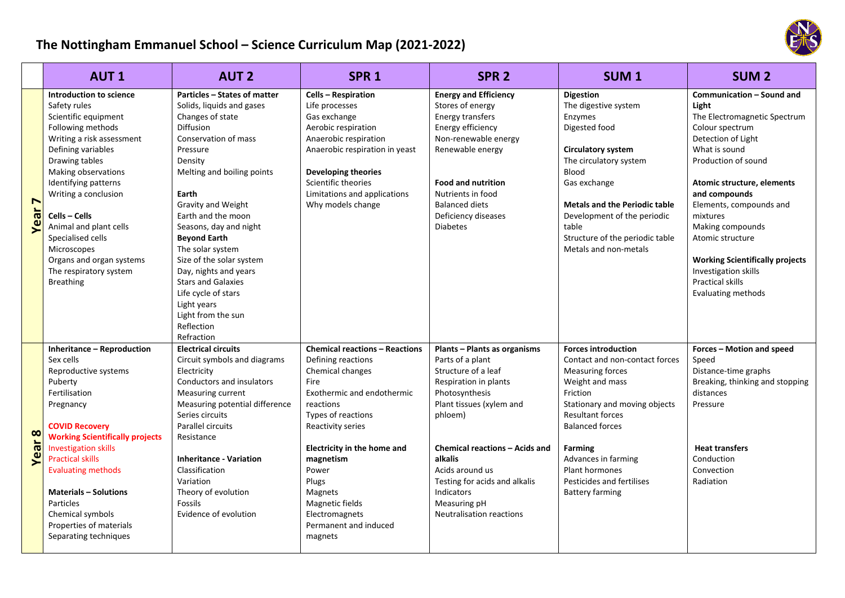## **The Nottingham Emmanuel School – Science Curriculum Map (2021‐2022)**

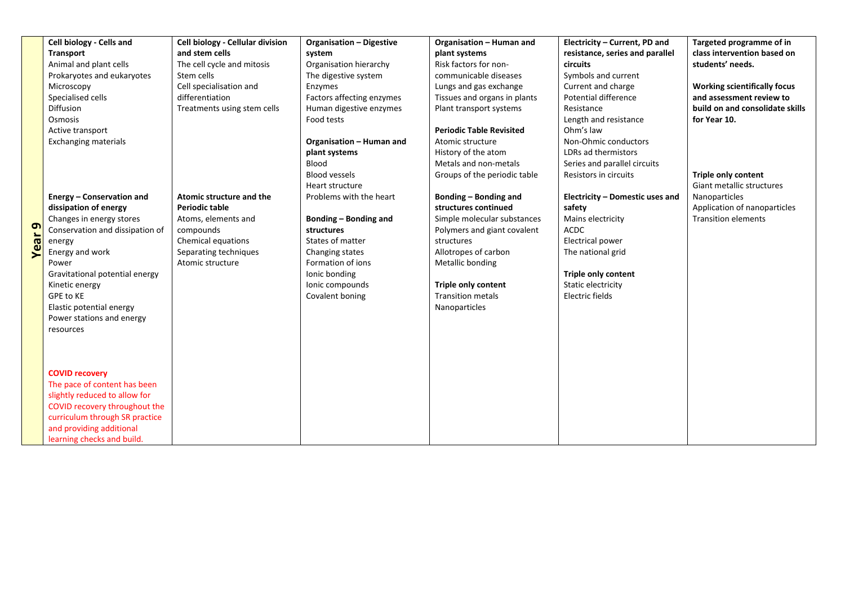|    | Cell biology - Cells and        | Cell biology - Cellular division | <b>Organisation - Digestive</b> | Organisation - Human and        | Electricity - Current, PD and   | Targeted programme of in            |
|----|---------------------------------|----------------------------------|---------------------------------|---------------------------------|---------------------------------|-------------------------------------|
|    | <b>Transport</b>                | and stem cells                   | system                          | plant systems                   | resistance, series and parallel | class intervention based on         |
|    | Animal and plant cells          | The cell cycle and mitosis       | Organisation hierarchy          | Risk factors for non-           | <b>circuits</b>                 | students' needs.                    |
|    | Prokaryotes and eukaryotes      | Stem cells                       | The digestive system            | communicable diseases           | Symbols and current             |                                     |
|    | Microscopy                      | Cell specialisation and          | Enzymes                         | Lungs and gas exchange          | Current and charge              | <b>Working scientifically focus</b> |
|    | Specialised cells               | differentiation                  | Factors affecting enzymes       | Tissues and organs in plants    | Potential difference            | and assessment review to            |
|    | Diffusion                       | Treatments using stem cells      | Human digestive enzymes         | Plant transport systems         | Resistance                      | build on and consolidate skills     |
|    | Osmosis                         |                                  | Food tests                      |                                 | Length and resistance           | for Year 10.                        |
|    | Active transport                |                                  |                                 | <b>Periodic Table Revisited</b> | Ohm's law                       |                                     |
|    | <b>Exchanging materials</b>     |                                  | Organisation - Human and        | Atomic structure                | Non-Ohmic conductors            |                                     |
|    |                                 |                                  | plant systems                   | History of the atom             | LDRs ad thermistors             |                                     |
|    |                                 |                                  | Blood                           | Metals and non-metals           | Series and parallel circuits    |                                     |
|    |                                 |                                  | <b>Blood vessels</b>            | Groups of the periodic table    | Resistors in circuits           | Triple only content                 |
|    |                                 |                                  | Heart structure                 |                                 |                                 | Giant metallic structures           |
|    | Energy - Conservation and       | Atomic structure and the         | Problems with the heart         | Bonding - Bonding and           | Electricity - Domestic uses and | Nanoparticles                       |
|    | dissipation of energy           | <b>Periodic table</b>            |                                 | structures continued            | safety                          | Application of nanoparticles        |
|    | Changes in energy stores        | Atoms, elements and              | Bonding - Bonding and           | Simple molecular substances     | Mains electricity               | <b>Transition elements</b>          |
| თ  | Conservation and dissipation of | compounds                        | structures                      | Polymers and giant covalent     | <b>ACDC</b>                     |                                     |
| ౚఀ | energy                          | Chemical equations               | States of matter                | structures                      | <b>Electrical power</b>         |                                     |
|    | Energy and work                 | Separating techniques            | Changing states                 | Allotropes of carbon            | The national grid               |                                     |
|    | Power                           | Atomic structure                 | Formation of ions               | Metallic bonding                |                                 |                                     |
|    | Gravitational potential energy  |                                  | Ionic bonding                   |                                 | <b>Triple only content</b>      |                                     |
|    | Kinetic energy                  |                                  | Ionic compounds                 | Triple only content             | Static electricity              |                                     |
|    | GPE to KE                       |                                  | Covalent boning                 | <b>Transition metals</b>        | Electric fields                 |                                     |
|    | Elastic potential energy        |                                  |                                 | Nanoparticles                   |                                 |                                     |
|    | Power stations and energy       |                                  |                                 |                                 |                                 |                                     |
|    | resources                       |                                  |                                 |                                 |                                 |                                     |
|    |                                 |                                  |                                 |                                 |                                 |                                     |
|    |                                 |                                  |                                 |                                 |                                 |                                     |
|    |                                 |                                  |                                 |                                 |                                 |                                     |
|    | <b>COVID recovery</b>           |                                  |                                 |                                 |                                 |                                     |
|    | The pace of content has been    |                                  |                                 |                                 |                                 |                                     |
|    | slightly reduced to allow for   |                                  |                                 |                                 |                                 |                                     |
|    | COVID recovery throughout the   |                                  |                                 |                                 |                                 |                                     |
|    | curriculum through SR practice  |                                  |                                 |                                 |                                 |                                     |
|    | and providing additional        |                                  |                                 |                                 |                                 |                                     |
|    | learning checks and build.      |                                  |                                 |                                 |                                 |                                     |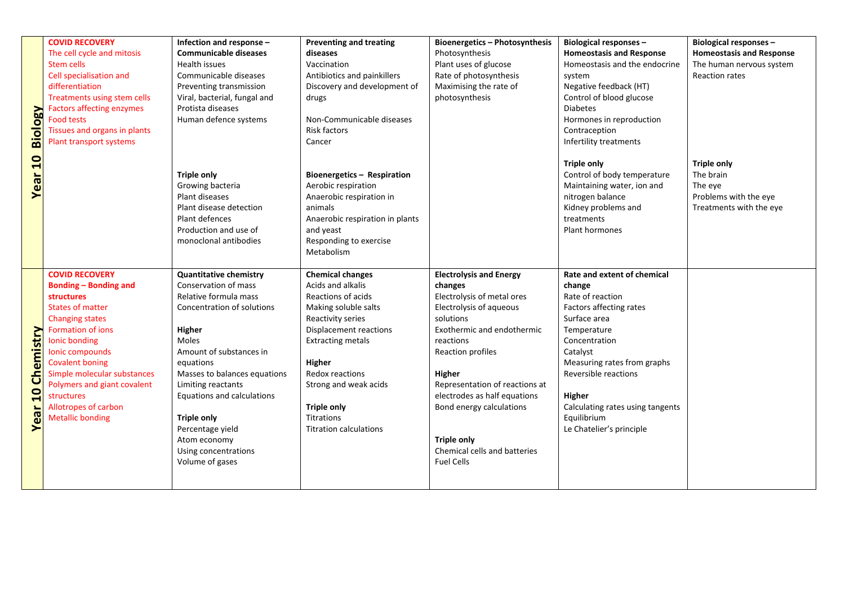|                | <b>COVID RECOVERY</b>                       | Infection and response -      | <b>Preventing and treating</b>              | Bioenergetics - Photosynthesis          | <b>Biological responses -</b>    | Biological responses -          |
|----------------|---------------------------------------------|-------------------------------|---------------------------------------------|-----------------------------------------|----------------------------------|---------------------------------|
|                | The cell cycle and mitosis                  | <b>Communicable diseases</b>  | diseases                                    | Photosynthesis                          | <b>Homeostasis and Response</b>  | <b>Homeostasis and Response</b> |
|                | <b>Stem cells</b>                           | <b>Health issues</b>          | Vaccination                                 | Plant uses of glucose                   | Homeostasis and the endocrine    | The human nervous system        |
|                | Cell specialisation and                     | Communicable diseases         | Antibiotics and painkillers                 | Rate of photosynthesis                  | system                           | <b>Reaction rates</b>           |
|                | differentiation                             | Preventing transmission       | Discovery and development of                | Maximising the rate of                  | Negative feedback (HT)           |                                 |
|                | Treatments using stem cells                 | Viral, bacterial, fungal and  | drugs                                       | photosynthesis                          | Control of blood glucose         |                                 |
|                | <b>Factors affecting enzymes</b>            | Protista diseases             |                                             |                                         | <b>Diabetes</b>                  |                                 |
|                | <b>Food tests</b>                           | Human defence systems         | Non-Communicable diseases                   |                                         | Hormones in reproduction         |                                 |
|                | Tissues and organs in plants                |                               | Risk factors                                |                                         | Contraception                    |                                 |
| <b>Biology</b> | Plant transport systems                     |                               | Cancer                                      |                                         | Infertility treatments           |                                 |
|                |                                             |                               |                                             |                                         |                                  |                                 |
| Year 10        |                                             |                               |                                             |                                         | <b>Triple only</b>               | <b>Triple only</b>              |
|                |                                             | <b>Triple only</b>            | Bioenergetics - Respiration                 |                                         | Control of body temperature      | The brain                       |
|                |                                             | Growing bacteria              | Aerobic respiration                         |                                         | Maintaining water, ion and       | The eye                         |
|                |                                             | Plant diseases                | Anaerobic respiration in                    |                                         | nitrogen balance                 | Problems with the eye           |
|                |                                             | Plant disease detection       | animals                                     |                                         | Kidney problems and              | Treatments with the eye         |
|                |                                             | Plant defences                | Anaerobic respiration in plants             |                                         | treatments                       |                                 |
|                |                                             | Production and use of         | and yeast                                   |                                         | Plant hormones                   |                                 |
|                |                                             | monoclonal antibodies         | Responding to exercise                      |                                         |                                  |                                 |
|                |                                             |                               | Metabolism                                  |                                         |                                  |                                 |
|                |                                             |                               |                                             |                                         |                                  |                                 |
|                | <b>COVID RECOVERY</b>                       | <b>Quantitative chemistry</b> | <b>Chemical changes</b>                     | <b>Electrolysis and Energy</b>          | Rate and extent of chemical      |                                 |
|                | <b>Bonding - Bonding and</b>                | Conservation of mass          | Acids and alkalis                           | changes                                 | change                           |                                 |
|                | structures                                  | Relative formula mass         | Reactions of acids                          | Electrolysis of metal ores              | Rate of reaction                 |                                 |
|                | <b>States of matter</b>                     | Concentration of solutions    | Making soluble salts                        | Electrolysis of aqueous                 | Factors affecting rates          |                                 |
|                | <b>Changing states</b><br>Formation of ions |                               | Reactivity series<br>Displacement reactions | solutions<br>Exothermic and endothermic | Surface area                     |                                 |
| Chemistry      | Ionic bonding                               | Higher<br>Moles               | <b>Extracting metals</b>                    | reactions                               | Temperature<br>Concentration     |                                 |
|                | Ionic compounds                             | Amount of substances in       |                                             | Reaction profiles                       | Catalyst                         |                                 |
|                | <b>Covalent boning</b>                      | equations                     | Higher                                      |                                         | Measuring rates from graphs      |                                 |
|                | Simple molecular substances                 | Masses to balances equations  | Redox reactions                             | Higher                                  | Reversible reactions             |                                 |
|                | Polymers and giant covalent                 | Limiting reactants            | Strong and weak acids                       | Representation of reactions at          |                                  |                                 |
| 10             | structures                                  | Equations and calculations    |                                             | electrodes as half equations            | Higher                           |                                 |
|                | Allotropes of carbon                        |                               | <b>Triple only</b>                          | Bond energy calculations                | Calculating rates using tangents |                                 |
|                | <b>Metallic bonding</b>                     | <b>Triple only</b>            | Titrations                                  |                                         | Equilibrium                      |                                 |
| Year           |                                             | Percentage yield              | <b>Titration calculations</b>               |                                         | Le Chatelier's principle         |                                 |
|                |                                             | Atom economy                  |                                             | Triple only                             |                                  |                                 |
|                |                                             | Using concentrations          |                                             | Chemical cells and batteries            |                                  |                                 |
|                |                                             | Volume of gases               |                                             | <b>Fuel Cells</b>                       |                                  |                                 |
|                |                                             |                               |                                             |                                         |                                  |                                 |
|                |                                             |                               |                                             |                                         |                                  |                                 |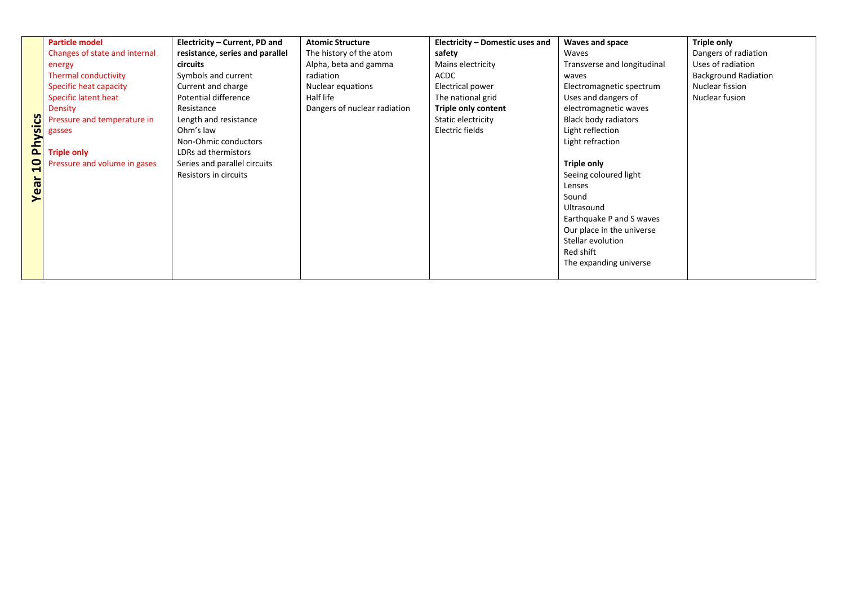|                | <b>Particle model</b>         | Electricity – Current, PD and   | <b>Atomic Structure</b>      | Electricity - Domestic uses and | Waves and space             | <b>Triple only</b>          |
|----------------|-------------------------------|---------------------------------|------------------------------|---------------------------------|-----------------------------|-----------------------------|
|                | Changes of state and internal | resistance, series and parallel | The history of the atom      | safety                          | Waves                       | Dangers of radiation        |
|                | energy                        | circuits                        | Alpha, beta and gamma        | Mains electricity               | Transverse and longitudinal | Uses of radiation           |
|                | Thermal conductivity          | Symbols and current             | radiation                    | <b>ACDC</b>                     | waves                       | <b>Background Radiation</b> |
|                | <b>Specific heat capacity</b> | Current and charge              | Nuclear equations            | Electrical power                | Electromagnetic spectrum    | Nuclear fission             |
|                | Specific latent heat          | Potential difference            | Half life                    | The national grid               | Uses and dangers of         | Nuclear fusion              |
|                | Density                       | Resistance                      | Dangers of nuclear radiation | <b>Triple only content</b>      | electromagnetic waves       |                             |
|                | Pressure and temperature in   | Length and resistance           |                              | Static electricity              | <b>Black body radiators</b> |                             |
| <b>Physics</b> | gasses                        | Ohm's law                       |                              | Electric fields                 | Light reflection            |                             |
|                |                               | Non-Ohmic conductors            |                              |                                 | Light refraction            |                             |
|                | <b>Triple only</b>            | LDRs ad thermistors             |                              |                                 |                             |                             |
| $\mathbf{a}$   | Pressure and volume in gases  | Series and parallel circuits    |                              |                                 | <b>Triple only</b>          |                             |
|                |                               | Resistors in circuits           |                              |                                 | Seeing coloured light       |                             |
| Year           |                               |                                 |                              |                                 | Lenses                      |                             |
|                |                               |                                 |                              |                                 | Sound                       |                             |
|                |                               |                                 |                              |                                 | Ultrasound                  |                             |
|                |                               |                                 |                              |                                 | Earthquake P and S waves    |                             |
|                |                               |                                 |                              |                                 | Our place in the universe   |                             |
|                |                               |                                 |                              |                                 | Stellar evolution           |                             |
|                |                               |                                 |                              |                                 | Red shift                   |                             |
|                |                               |                                 |                              |                                 | The expanding universe      |                             |
|                |                               |                                 |                              |                                 |                             |                             |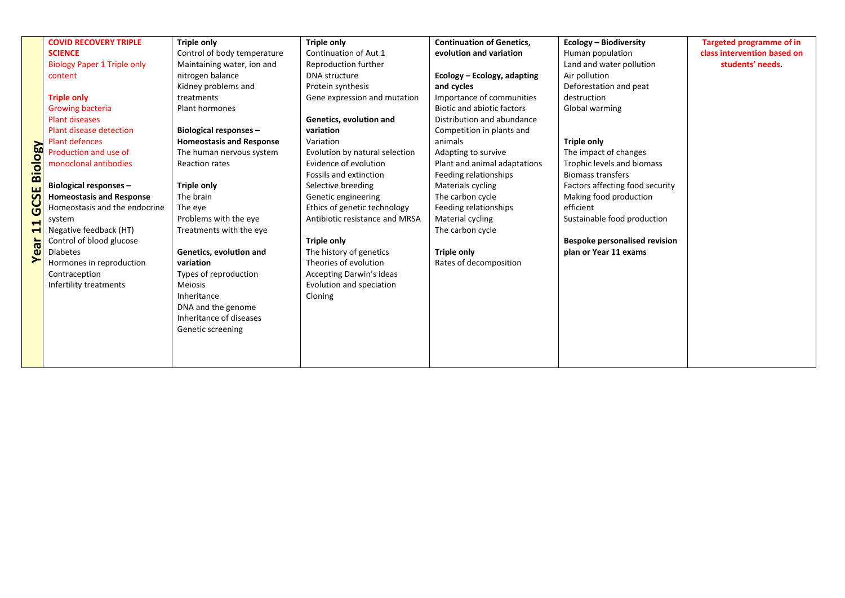|                      | <b>COVID RECOVERY TRIPLE</b>       | <b>Triple only</b>              | <b>Triple only</b>              | <b>Continuation of Genetics,</b> | Ecology - Biodiversity               | <b>Targeted programme of in</b> |
|----------------------|------------------------------------|---------------------------------|---------------------------------|----------------------------------|--------------------------------------|---------------------------------|
|                      | <b>SCIENCE</b>                     | Control of body temperature     | Continuation of Aut 1           | evolution and variation          | Human population                     | class intervention based on     |
|                      | <b>Biology Paper 1 Triple only</b> | Maintaining water, ion and      | Reproduction further            |                                  | Land and water pollution             | students' needs.                |
|                      | content                            | nitrogen balance                | DNA structure                   | Ecology - Ecology, adapting      | Air pollution                        |                                 |
|                      |                                    | Kidney problems and             | Protein synthesis               | and cycles                       | Deforestation and peat               |                                 |
|                      | <b>Triple only</b>                 | treatments                      | Gene expression and mutation    | Importance of communities        | destruction                          |                                 |
|                      | <b>Growing bacteria</b>            | Plant hormones                  |                                 | Biotic and abiotic factors       | Global warming                       |                                 |
|                      | <b>Plant diseases</b>              |                                 | Genetics, evolution and         | Distribution and abundance       |                                      |                                 |
|                      | Plant disease detection            | Biological responses -          | variation                       | Competition in plants and        |                                      |                                 |
|                      | <b>Plant defences</b>              | <b>Homeostasis and Response</b> | Variation                       | animals                          | <b>Triple only</b>                   |                                 |
| <b>CSE Biology</b>   | Production and use of              | The human nervous system        | Evolution by natural selection  | Adapting to survive              | The impact of changes                |                                 |
|                      | monoclonal antibodies              | Reaction rates                  | Evidence of evolution           | Plant and animal adaptations     | Trophic levels and biomass           |                                 |
|                      |                                    |                                 | Fossils and extinction          | Feeding relationships            | <b>Biomass transfers</b>             |                                 |
|                      | Biological responses -             | <b>Triple only</b>              | Selective breeding              | Materials cycling                | Factors affecting food security      |                                 |
|                      | <b>Homeostasis and Response</b>    | The brain                       | Genetic engineering             | The carbon cycle                 | Making food production               |                                 |
| Ū                    | Homeostasis and the endocrine      | The eye                         | Ethics of genetic technology    | Feeding relationships            | efficient                            |                                 |
| $\blacktriangleleft$ | system                             | Problems with the eye           | Antibiotic resistance and MRSA  | Material cycling                 | Sustainable food production          |                                 |
| 4                    | Negative feedback (HT)             | Treatments with the eye         |                                 | The carbon cycle                 |                                      |                                 |
| Year                 | Control of blood glucose           |                                 | <b>Triple only</b>              |                                  | <b>Bespoke personalised revision</b> |                                 |
|                      | <b>Diabetes</b>                    | Genetics, evolution and         | The history of genetics         | <b>Triple only</b>               | plan or Year 11 exams                |                                 |
|                      | Hormones in reproduction           | variation                       | Theories of evolution           | Rates of decomposition           |                                      |                                 |
|                      | Contraception                      | Types of reproduction           | <b>Accepting Darwin's ideas</b> |                                  |                                      |                                 |
|                      | Infertility treatments             | <b>Meiosis</b>                  | Evolution and speciation        |                                  |                                      |                                 |
|                      |                                    | Inheritance                     | Cloning                         |                                  |                                      |                                 |
|                      |                                    | DNA and the genome              |                                 |                                  |                                      |                                 |
|                      |                                    | Inheritance of diseases         |                                 |                                  |                                      |                                 |
|                      |                                    | Genetic screening               |                                 |                                  |                                      |                                 |
|                      |                                    |                                 |                                 |                                  |                                      |                                 |
|                      |                                    |                                 |                                 |                                  |                                      |                                 |
|                      |                                    |                                 |                                 |                                  |                                      |                                 |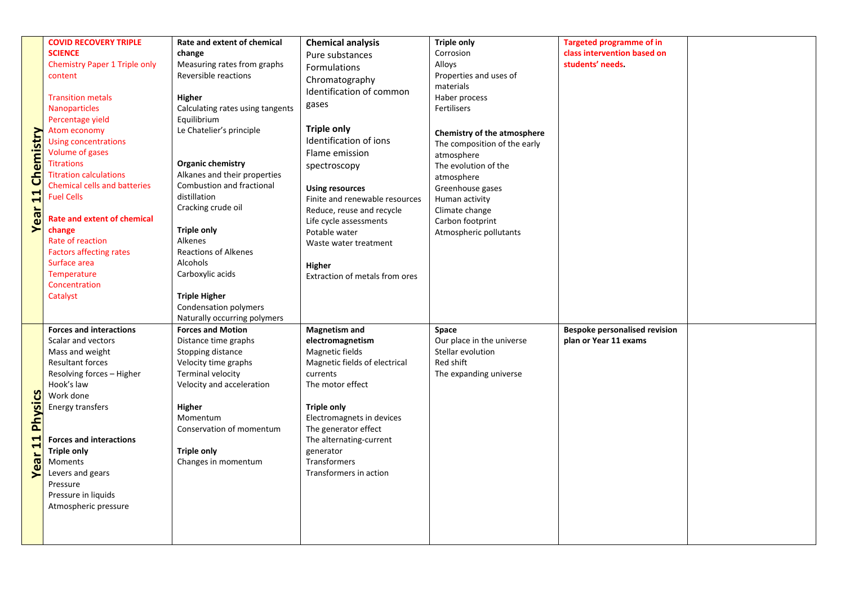|                        | <b>COVID RECOVERY TRIPLE</b>                | Rate and extent of chemical      | <b>Chemical analysis</b>       | <b>Triple only</b>           | <b>Targeted programme of in</b>      |  |
|------------------------|---------------------------------------------|----------------------------------|--------------------------------|------------------------------|--------------------------------------|--|
|                        | <b>SCIENCE</b>                              | change                           | Pure substances                | Corrosion                    | class intervention based on          |  |
|                        | <b>Chemistry Paper 1 Triple only</b>        | Measuring rates from graphs      | <b>Formulations</b>            | Alloys                       | students' needs.                     |  |
|                        | content                                     | Reversible reactions             | Chromatography                 | Properties and uses of       |                                      |  |
|                        |                                             |                                  | Identification of common       | materials                    |                                      |  |
|                        | <b>Transition metals</b>                    | Higher                           |                                | Haber process                |                                      |  |
|                        | Nanoparticles                               | Calculating rates using tangents | gases                          | Fertilisers                  |                                      |  |
|                        | Percentage yield                            | Equilibrium                      |                                |                              |                                      |  |
|                        | Atom economy                                | Le Chatelier's principle         | <b>Triple only</b>             | Chemistry of the atmosphere  |                                      |  |
|                        | <b>Using concentrations</b>                 |                                  | Identification of ions         | The composition of the early |                                      |  |
| <b>Chemistry</b>       | Volume of gases                             |                                  | Flame emission                 | atmosphere                   |                                      |  |
|                        | <b>Titrations</b>                           | <b>Organic chemistry</b>         | spectroscopy                   | The evolution of the         |                                      |  |
|                        | <b>Titration calculations</b>               | Alkanes and their properties     |                                | atmosphere                   |                                      |  |
|                        | <b>Chemical cells and batteries</b>         | Combustion and fractional        | <b>Using resources</b>         | Greenhouse gases             |                                      |  |
|                        | <b>Fuel Cells</b>                           | distillation                     | Finite and renewable resources | Human activity               |                                      |  |
|                        |                                             | Cracking crude oil               | Reduce, reuse and recycle      | Climate change               |                                      |  |
| Year <sub>11</sub>     | <b>Rate and extent of chemical</b>          |                                  | Life cycle assessments         | Carbon footprint             |                                      |  |
|                        | change                                      | <b>Triple only</b>               | Potable water                  | Atmospheric pollutants       |                                      |  |
|                        | Rate of reaction                            | Alkenes                          | Waste water treatment          |                              |                                      |  |
|                        | <b>Factors affecting rates</b>              | <b>Reactions of Alkenes</b>      |                                |                              |                                      |  |
|                        | Surface area                                | Alcohols                         | Higher                         |                              |                                      |  |
|                        | Temperature                                 | Carboxylic acids                 | Extraction of metals from ores |                              |                                      |  |
|                        | Concentration                               |                                  |                                |                              |                                      |  |
|                        | Catalyst                                    | <b>Triple Higher</b>             |                                |                              |                                      |  |
|                        |                                             | Condensation polymers            |                                |                              |                                      |  |
|                        |                                             | Naturally occurring polymers     |                                |                              |                                      |  |
|                        | <b>Forces and interactions</b>              | <b>Forces and Motion</b>         | <b>Magnetism and</b>           | Space                        | <b>Bespoke personalised revision</b> |  |
|                        | Scalar and vectors                          | Distance time graphs             | electromagnetism               | Our place in the universe    | plan or Year 11 exams                |  |
|                        | Mass and weight                             | Stopping distance                | Magnetic fields                | Stellar evolution            |                                      |  |
|                        | <b>Resultant forces</b>                     | Velocity time graphs             | Magnetic fields of electrical  | Red shift                    |                                      |  |
|                        | Resolving forces - Higher<br>Hook's law     | Terminal velocity                | currents<br>The motor effect   | The expanding universe       |                                      |  |
|                        | Work done                                   | Velocity and acceleration        |                                |                              |                                      |  |
|                        | Energy transfers                            | Higher                           | <b>Triple only</b>             |                              |                                      |  |
|                        |                                             | Momentum                         | Electromagnets in devices      |                              |                                      |  |
|                        |                                             |                                  |                                |                              |                                      |  |
|                        |                                             |                                  |                                |                              |                                      |  |
|                        |                                             | Conservation of momentum         | The generator effect           |                              |                                      |  |
|                        | <b>Forces and interactions</b>              |                                  | The alternating-current        |                              |                                      |  |
|                        | <b>Triple only</b>                          | <b>Triple only</b>               | generator                      |                              |                                      |  |
|                        | Moments                                     | Changes in momentum              | Transformers                   |                              |                                      |  |
| <b>Year 11 Physics</b> | Levers and gears<br>Pressure                |                                  | Transformers in action         |                              |                                      |  |
|                        |                                             |                                  |                                |                              |                                      |  |
|                        | Pressure in liquids<br>Atmospheric pressure |                                  |                                |                              |                                      |  |
|                        |                                             |                                  |                                |                              |                                      |  |
|                        |                                             |                                  |                                |                              |                                      |  |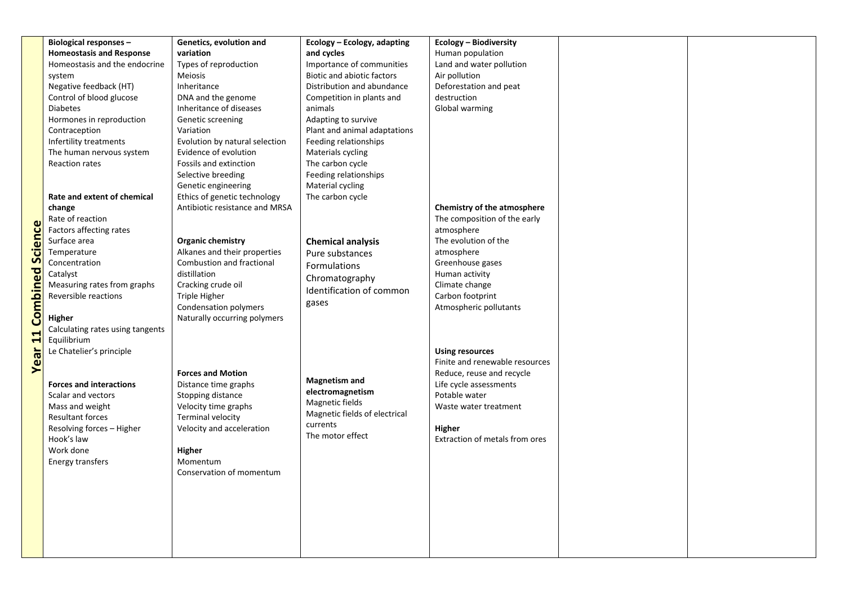|                 | <b>Biological responses -</b>    | Genetics, evolution and                                   | Ecology - Ecology, adapting       | Ecology - Biodiversity         |  |
|-----------------|----------------------------------|-----------------------------------------------------------|-----------------------------------|--------------------------------|--|
|                 | <b>Homeostasis and Response</b>  | variation                                                 | and cycles                        | Human population               |  |
|                 | Homeostasis and the endocrine    | Types of reproduction                                     | Importance of communities         | Land and water pollution       |  |
|                 | system                           | Meiosis                                                   | <b>Biotic and abiotic factors</b> | Air pollution                  |  |
|                 | Negative feedback (HT)           | Inheritance                                               | Distribution and abundance        | Deforestation and peat         |  |
|                 | Control of blood glucose         | DNA and the genome                                        | Competition in plants and         | destruction                    |  |
|                 | <b>Diabetes</b>                  | Inheritance of diseases                                   | animals                           | Global warming                 |  |
|                 | Hormones in reproduction         | Genetic screening                                         | Adapting to survive               |                                |  |
|                 | Contraception                    | Variation                                                 | Plant and animal adaptations      |                                |  |
|                 | Infertility treatments           | Evolution by natural selection                            | Feeding relationships             |                                |  |
|                 | The human nervous system         | Evidence of evolution                                     | Materials cycling                 |                                |  |
|                 | Reaction rates                   | Fossils and extinction                                    | The carbon cycle                  |                                |  |
|                 |                                  | Selective breeding                                        | Feeding relationships             |                                |  |
|                 |                                  | Genetic engineering                                       | Material cycling                  |                                |  |
|                 | Rate and extent of chemical      | Ethics of genetic technology                              | The carbon cycle                  |                                |  |
|                 | change                           | Antibiotic resistance and MRSA                            |                                   | Chemistry of the atmosphere    |  |
|                 | Rate of reaction                 |                                                           |                                   | The composition of the early   |  |
|                 | Factors affecting rates          |                                                           |                                   | atmosphere                     |  |
|                 | Surface area                     |                                                           |                                   | The evolution of the           |  |
| cience          |                                  | <b>Organic chemistry</b>                                  | <b>Chemical analysis</b>          |                                |  |
| S               | Temperature                      | Alkanes and their properties<br>Combustion and fractional | Pure substances                   | atmosphere                     |  |
|                 | Concentration                    |                                                           | Formulations                      | Greenhouse gases               |  |
|                 | Catalyst                         | distillation                                              | Chromatography                    | Human activity                 |  |
|                 | Measuring rates from graphs      | Cracking crude oil                                        | Identification of common          | Climate change                 |  |
|                 | Reversible reactions             | Triple Higher                                             | gases                             | Carbon footprint               |  |
| <b>Combined</b> |                                  | Condensation polymers                                     |                                   | Atmospheric pollutants         |  |
|                 | Higher                           | Naturally occurring polymers                              |                                   |                                |  |
|                 | Calculating rates using tangents |                                                           |                                   |                                |  |
| <b>Year 1</b>   | Equilibrium                      |                                                           |                                   |                                |  |
|                 | Le Chatelier's principle         |                                                           |                                   | <b>Using resources</b>         |  |
|                 |                                  |                                                           |                                   | Finite and renewable resources |  |
|                 |                                  | <b>Forces and Motion</b>                                  |                                   | Reduce, reuse and recycle      |  |
|                 | <b>Forces and interactions</b>   | Distance time graphs                                      | <b>Magnetism and</b>              | Life cycle assessments         |  |
|                 | Scalar and vectors               | Stopping distance                                         | electromagnetism                  | Potable water                  |  |
|                 | Mass and weight                  | Velocity time graphs                                      | Magnetic fields                   | Waste water treatment          |  |
|                 | <b>Resultant forces</b>          | Terminal velocity                                         | Magnetic fields of electrical     |                                |  |
|                 | Resolving forces - Higher        | Velocity and acceleration                                 | currents                          | Higher                         |  |
|                 | Hook's law                       |                                                           | The motor effect                  | Extraction of metals from ores |  |
|                 | Work done                        | Higher                                                    |                                   |                                |  |
|                 | Energy transfers                 | Momentum                                                  |                                   |                                |  |
|                 |                                  | Conservation of momentum                                  |                                   |                                |  |
|                 |                                  |                                                           |                                   |                                |  |
|                 |                                  |                                                           |                                   |                                |  |
|                 |                                  |                                                           |                                   |                                |  |
|                 |                                  |                                                           |                                   |                                |  |
|                 |                                  |                                                           |                                   |                                |  |
|                 |                                  |                                                           |                                   |                                |  |
|                 |                                  |                                                           |                                   |                                |  |
|                 |                                  |                                                           |                                   |                                |  |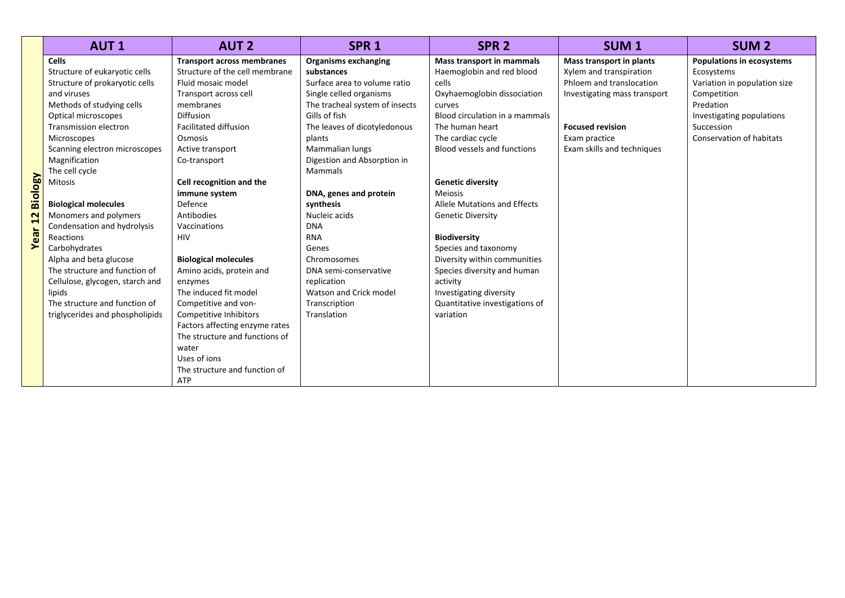|                                     | <b>AUT1</b>                                                                                                                                                                                                                                                                                                                                                                                                                                                                                                                                                                              | <b>AUT 2</b>                                                                                                                                                                                                                                                                                                                                                                                                                                                                                                                                  | SPR <sub>1</sub>                                                                                                                                                                                                                                                                                                                                                                                                                                                                    | SPR <sub>2</sub>                                                                                                                                                                                                                                                                                                                                                                                                                                                                                                                       | <b>SUM1</b>                                                                                                                                                                               | <b>SUM 2</b>                                                                                                                                                                      |
|-------------------------------------|------------------------------------------------------------------------------------------------------------------------------------------------------------------------------------------------------------------------------------------------------------------------------------------------------------------------------------------------------------------------------------------------------------------------------------------------------------------------------------------------------------------------------------------------------------------------------------------|-----------------------------------------------------------------------------------------------------------------------------------------------------------------------------------------------------------------------------------------------------------------------------------------------------------------------------------------------------------------------------------------------------------------------------------------------------------------------------------------------------------------------------------------------|-------------------------------------------------------------------------------------------------------------------------------------------------------------------------------------------------------------------------------------------------------------------------------------------------------------------------------------------------------------------------------------------------------------------------------------------------------------------------------------|----------------------------------------------------------------------------------------------------------------------------------------------------------------------------------------------------------------------------------------------------------------------------------------------------------------------------------------------------------------------------------------------------------------------------------------------------------------------------------------------------------------------------------------|-------------------------------------------------------------------------------------------------------------------------------------------------------------------------------------------|-----------------------------------------------------------------------------------------------------------------------------------------------------------------------------------|
| <b>Biology</b><br>12<br><b>Year</b> | <b>Cells</b><br>Structure of eukaryotic cells<br>Structure of prokaryotic cells<br>and viruses<br>Methods of studying cells<br>Optical microscopes<br><b>Transmission electron</b><br><b>Microscopes</b><br>Scanning electron microscopes<br>Magnification<br>The cell cycle<br>Mitosis<br><b>Biological molecules</b><br>Monomers and polymers<br>Condensation and hydrolysis<br>Reactions<br>Carbohydrates<br>Alpha and beta glucose<br>The structure and function of<br>Cellulose, glycogen, starch and<br>lipids<br>The structure and function of<br>triglycerides and phospholipids | <b>Transport across membranes</b><br>Structure of the cell membrane<br>Fluid mosaic model<br>Transport across cell<br>membranes<br>Diffusion<br><b>Facilitated diffusion</b><br>Osmosis<br>Active transport<br>Co-transport<br>Cell recognition and the<br>immune system<br>Defence<br>Antibodies<br>Vaccinations<br>HIV<br><b>Biological molecules</b><br>Amino acids, protein and<br>enzymes<br>The induced fit model<br>Competitive and von-<br>Competitive Inhibitors<br>Factors affecting enzyme rates<br>The structure and functions of | <b>Organisms exchanging</b><br>substances<br>Surface area to volume ratio<br>Single celled organisms<br>The tracheal system of insects<br>Gills of fish<br>The leaves of dicotyledonous<br>plants<br>Mammalian lungs<br>Digestion and Absorption in<br><b>Mammals</b><br>DNA, genes and protein<br>synthesis<br>Nucleic acids<br><b>DNA</b><br><b>RNA</b><br>Genes<br>Chromosomes<br>DNA semi-conservative<br>replication<br>Watson and Crick model<br>Transcription<br>Translation | <b>Mass transport in mammals</b><br>Haemoglobin and red blood<br>cells<br>Oxyhaemoglobin dissociation<br>curves<br>Blood circulation in a mammals<br>The human heart<br>The cardiac cycle<br>Blood vessels and functions<br><b>Genetic diversity</b><br><b>Meiosis</b><br>Allele Mutations and Effects<br><b>Genetic Diversity</b><br><b>Biodiversity</b><br>Species and taxonomy<br>Diversity within communities<br>Species diversity and human<br>activity<br>Investigating diversity<br>Quantitative investigations of<br>variation | Mass transport in plants<br>Xylem and transpiration<br>Phloem and translocation<br>Investigating mass transport<br><b>Focused revision</b><br>Exam practice<br>Exam skills and techniques | <b>Populations in ecosystems</b><br>Ecosystems<br>Variation in population size<br>Competition<br>Predation<br>Investigating populations<br>Succession<br>Conservation of habitats |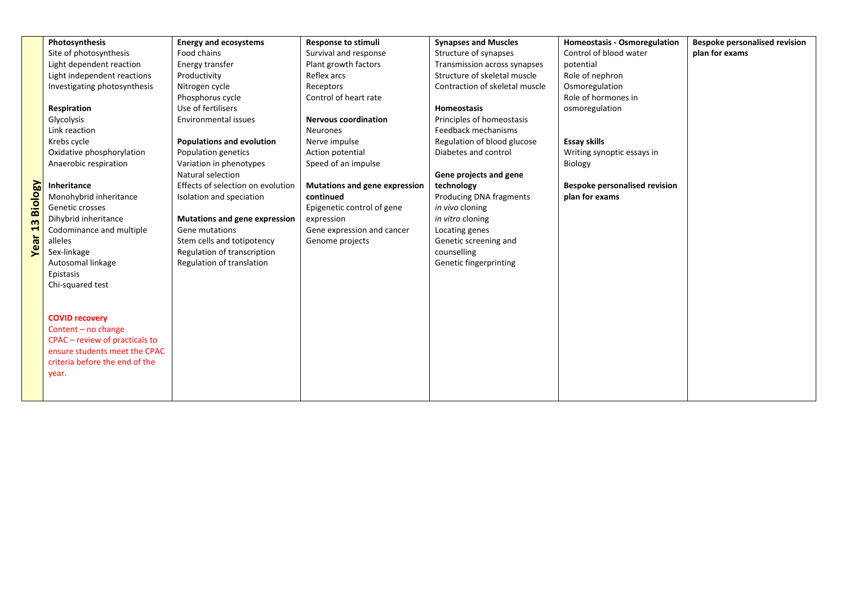|                 | Photosynthesis                 | <b>Energy and ecosystems</b>      | <b>Response to stimuli</b>           | <b>Synapses and Muscles</b>    | <b>Homeostasis - Osmoregulation</b>  | <b>Bespoke personalised revision</b> |  |
|-----------------|--------------------------------|-----------------------------------|--------------------------------------|--------------------------------|--------------------------------------|--------------------------------------|--|
|                 | Site of photosynthesis         | Food chains                       | Survival and response                | Structure of synapses          | Control of blood water               | plan for exams                       |  |
|                 | Light dependent reaction       | Energy transfer                   | Plant growth factors                 | Transmission across synapses   | potential                            |                                      |  |
|                 | Light independent reactions    | Productivity                      | Reflex arcs                          | Structure of skeletal muscle   | Role of nephron                      |                                      |  |
|                 | Investigating photosynthesis   | Nitrogen cycle                    | Receptors                            | Contraction of skeletal muscle | Osmoregulation                       |                                      |  |
|                 |                                | Phosphorus cycle                  | Control of heart rate                |                                | Role of hormones in                  |                                      |  |
|                 | Respiration                    | Use of fertilisers                |                                      | Homeostasis                    | osmoregulation                       |                                      |  |
|                 | Glycolysis                     | Environmental issues              | <b>Nervous coordination</b>          | Principles of homeostasis      |                                      |                                      |  |
|                 | Link reaction                  |                                   | <b>Neurones</b>                      | Feedback mechanisms            |                                      |                                      |  |
|                 | Krebs cycle                    | <b>Populations and evolution</b>  | Nerve impulse                        | Regulation of blood glucose    | <b>Essay skills</b>                  |                                      |  |
|                 | Oxidative phosphorylation      | Population genetics               | Action potential                     | Diabetes and control           | Writing synoptic essays in           |                                      |  |
|                 | Anaerobic respiration          | Variation in phenotypes           | Speed of an impulse                  |                                | Biology                              |                                      |  |
|                 |                                | Natural selection                 |                                      | Gene projects and gene         |                                      |                                      |  |
|                 | <b>Inheritance</b>             | Effects of selection on evolution | <b>Mutations and gene expression</b> | technology                     | <b>Bespoke personalised revision</b> |                                      |  |
|                 | Monohybrid inheritance         | Isolation and speciation          | continued                            | Producing DNA fragments        | plan for exams                       |                                      |  |
|                 | Genetic crosses                |                                   | Epigenetic control of gene           | in vivo cloning                |                                      |                                      |  |
|                 | Dihybrid inheritance           | Mutations and gene expression     | expression                           | in vitro cloning               |                                      |                                      |  |
| Year 13 Biology | Codominance and multiple       | Gene mutations                    | Gene expression and cancer           | Locating genes                 |                                      |                                      |  |
|                 | alleles                        | Stem cells and totipotency        | Genome projects                      | Genetic screening and          |                                      |                                      |  |
|                 | Sex-linkage                    | Regulation of transcription       |                                      | counselling                    |                                      |                                      |  |
|                 | Autosomal linkage              | Regulation of translation         |                                      | Genetic fingerprinting         |                                      |                                      |  |
|                 | Epistasis                      |                                   |                                      |                                |                                      |                                      |  |
|                 | Chi-squared test               |                                   |                                      |                                |                                      |                                      |  |
|                 |                                |                                   |                                      |                                |                                      |                                      |  |
|                 |                                |                                   |                                      |                                |                                      |                                      |  |
|                 | <b>COVID recovery</b>          |                                   |                                      |                                |                                      |                                      |  |
|                 | Content - no change            |                                   |                                      |                                |                                      |                                      |  |
|                 | CPAC - review of practicals to |                                   |                                      |                                |                                      |                                      |  |
|                 | ensure students meet the CPAC  |                                   |                                      |                                |                                      |                                      |  |
|                 | criteria before the end of the |                                   |                                      |                                |                                      |                                      |  |
|                 | year.                          |                                   |                                      |                                |                                      |                                      |  |
|                 |                                |                                   |                                      |                                |                                      |                                      |  |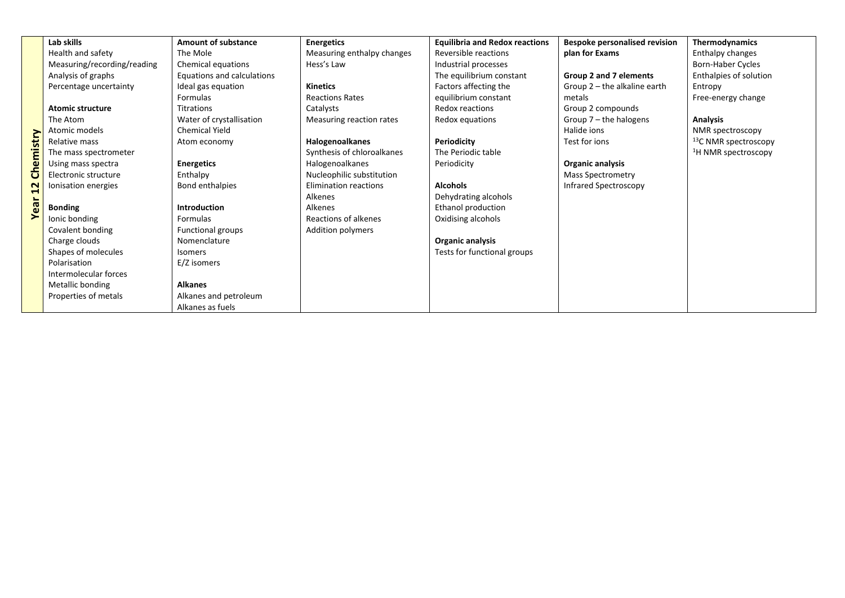|           | Lab skills                  | <b>Amount of substance</b> | <b>Energetics</b>            | <b>Equilibria and Redox reactions</b> | <b>Bespoke personalised revision</b> | Thermodynamics                   |
|-----------|-----------------------------|----------------------------|------------------------------|---------------------------------------|--------------------------------------|----------------------------------|
|           | Health and safety           | The Mole                   | Measuring enthalpy changes   | Reversible reactions                  | plan for Exams                       | Enthalpy changes                 |
|           | Measuring/recording/reading | Chemical equations         | Hess's Law                   | Industrial processes                  |                                      | Born-Haber Cycles                |
|           | Analysis of graphs          | Equations and calculations |                              | The equilibrium constant              | Group 2 and 7 elements               | Enthalpies of solution           |
|           | Percentage uncertainty      | Ideal gas equation         | <b>Kinetics</b>              | Factors affecting the                 | Group 2 - the alkaline earth         | Entropy                          |
|           |                             | Formulas                   | <b>Reactions Rates</b>       | equilibrium constant                  | metals                               | Free-energy change               |
|           | <b>Atomic structure</b>     | Titrations                 | Catalysts                    | Redox reactions                       | Group 2 compounds                    |                                  |
|           | The Atom                    | Water of crystallisation   | Measuring reaction rates     | Redox equations                       | Group 7 - the halogens               | <b>Analysis</b>                  |
|           | Atomic models               | <b>Chemical Yield</b>      |                              |                                       | Halide ions                          | NMR spectroscopy                 |
|           | Relative mass               | Atom economy               | Halogenoalkanes              | Periodicity                           | Test for ions                        | <sup>13</sup> C NMR spectroscopy |
|           | The mass spectrometer       |                            | Synthesis of chloroalkanes   | The Periodic table                    |                                      | <sup>1</sup> H NMR spectroscopy  |
| Chemistry | Using mass spectra          | <b>Energetics</b>          | <b>Halogenoalkanes</b>       | Periodicity                           | Organic analysis                     |                                  |
|           | Electronic structure        | Enthalpy                   | Nucleophilic substitution    |                                       | <b>Mass Spectrometry</b>             |                                  |
| 22        | Ionisation energies         | Bond enthalpies            | <b>Elimination reactions</b> | <b>Alcohols</b>                       | Infrared Spectroscopy                |                                  |
|           |                             |                            | Alkenes                      | Dehydrating alcohols                  |                                      |                                  |
| ar<br>@   | <b>Bonding</b>              | <b>Introduction</b>        | Alkenes                      | Ethanol production                    |                                      |                                  |
| ➤         | Ionic bonding               | Formulas                   | Reactions of alkenes         | Oxidising alcohols                    |                                      |                                  |
|           | Covalent bonding            | <b>Functional groups</b>   | Addition polymers            |                                       |                                      |                                  |
|           | Charge clouds               | Nomenclature               |                              | Organic analysis                      |                                      |                                  |
|           | Shapes of molecules         | <b>Isomers</b>             |                              | Tests for functional groups           |                                      |                                  |
|           | Polarisation                | E/Z isomers                |                              |                                       |                                      |                                  |
|           | Intermolecular forces       |                            |                              |                                       |                                      |                                  |
|           | Metallic bonding            | <b>Alkanes</b>             |                              |                                       |                                      |                                  |
|           | Properties of metals        | Alkanes and petroleum      |                              |                                       |                                      |                                  |
|           |                             | Alkanes as fuels           |                              |                                       |                                      |                                  |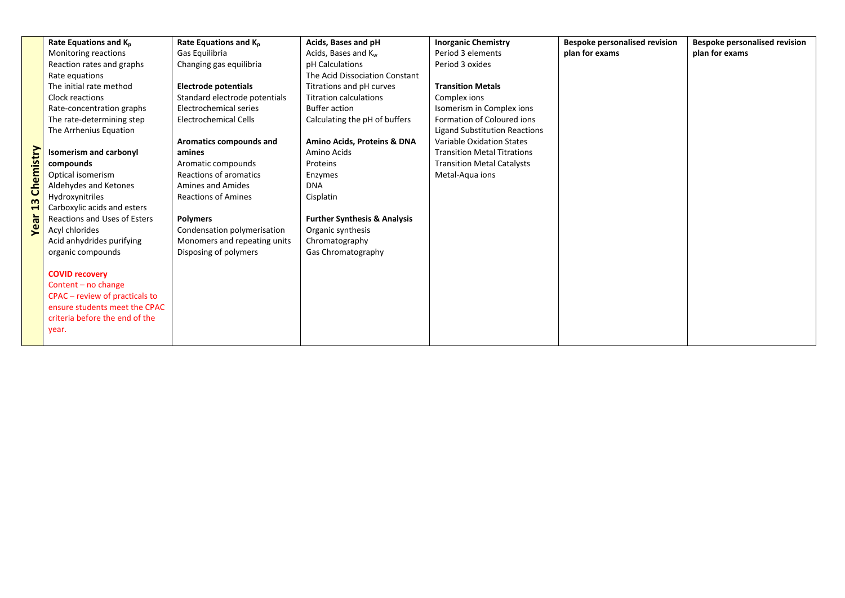|                         | Rate Equations and K <sub>p</sub> | Rate Equations and K <sub>p</sub> | Acids, Bases and pH                     | <b>Inorganic Chemistry</b>           | <b>Bespoke personalised revision</b> | <b>Bespoke personalised revision</b> |
|-------------------------|-----------------------------------|-----------------------------------|-----------------------------------------|--------------------------------------|--------------------------------------|--------------------------------------|
|                         | Monitoring reactions              | Gas Equilibria                    | Acids, Bases and K <sub>w</sub>         | Period 3 elements                    | plan for exams                       | plan for exams                       |
|                         | Reaction rates and graphs         | Changing gas equilibria           | pH Calculations                         | Period 3 oxides                      |                                      |                                      |
|                         | Rate equations                    |                                   | The Acid Dissociation Constant          |                                      |                                      |                                      |
|                         | The initial rate method           | <b>Electrode potentials</b>       | Titrations and pH curves                | <b>Transition Metals</b>             |                                      |                                      |
|                         | Clock reactions                   | Standard electrode potentials     | <b>Titration calculations</b>           | Complex ions                         |                                      |                                      |
|                         | Rate-concentration graphs         | Electrochemical series            | <b>Buffer action</b>                    | Isomerism in Complex ions            |                                      |                                      |
|                         | The rate-determining step         | <b>Electrochemical Cells</b>      | Calculating the pH of buffers           | Formation of Coloured ions           |                                      |                                      |
|                         | The Arrhenius Equation            |                                   |                                         | <b>Ligand Substitution Reactions</b> |                                      |                                      |
|                         |                                   | Aromatics compounds and           | Amino Acids, Proteins & DNA             | Variable Oxidation States            |                                      |                                      |
| emistry                 | <b>Isomerism and carbonyl</b>     | amines                            | Amino Acids                             | <b>Transition Metal Titrations</b>   |                                      |                                      |
|                         | compounds                         | Aromatic compounds                | Proteins                                | <b>Transition Metal Catalysts</b>    |                                      |                                      |
|                         | Optical isomerism                 | Reactions of aromatics            | Enzymes                                 | Metal-Aqua ions                      |                                      |                                      |
| $\overline{\mathsf{c}}$ | Aldehydes and Ketones             | <b>Amines and Amides</b>          | <b>DNA</b>                              |                                      |                                      |                                      |
| m                       | Hydroxynitriles                   | <b>Reactions of Amines</b>        | Cisplatin                               |                                      |                                      |                                      |
|                         | Carboxylic acids and esters       |                                   |                                         |                                      |                                      |                                      |
| ă                       | Reactions and Uses of Esters      | <b>Polymers</b>                   | <b>Further Synthesis &amp; Analysis</b> |                                      |                                      |                                      |
| Q                       | Acyl chlorides                    | Condensation polymerisation       | Organic synthesis                       |                                      |                                      |                                      |
|                         | Acid anhydrides purifying         | Monomers and repeating units      | Chromatography                          |                                      |                                      |                                      |
|                         | organic compounds                 | Disposing of polymers             | Gas Chromatography                      |                                      |                                      |                                      |
|                         |                                   |                                   |                                         |                                      |                                      |                                      |
|                         | <b>COVID recovery</b>             |                                   |                                         |                                      |                                      |                                      |
|                         | Content - no change               |                                   |                                         |                                      |                                      |                                      |
|                         | CPAC - review of practicals to    |                                   |                                         |                                      |                                      |                                      |
|                         | ensure students meet the CPAC     |                                   |                                         |                                      |                                      |                                      |
|                         | criteria before the end of the    |                                   |                                         |                                      |                                      |                                      |
|                         | year.                             |                                   |                                         |                                      |                                      |                                      |
|                         |                                   |                                   |                                         |                                      |                                      |                                      |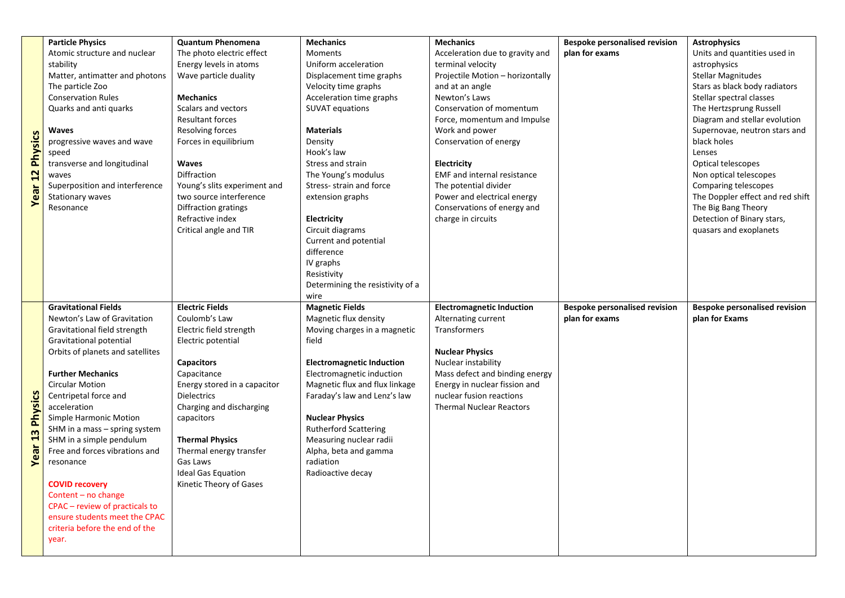|                | <b>Particle Physics</b>          | <b>Quantum Phenomena</b>     | <b>Mechanics</b>                 | <b>Mechanics</b>                   | <b>Bespoke personalised revision</b> | <b>Astrophysics</b>                  |
|----------------|----------------------------------|------------------------------|----------------------------------|------------------------------------|--------------------------------------|--------------------------------------|
|                | Atomic structure and nuclear     | The photo electric effect    | <b>Moments</b>                   | Acceleration due to gravity and    | plan for exams                       | Units and quantities used in         |
|                | stability                        | Energy levels in atoms       | Uniform acceleration             | terminal velocity                  |                                      | astrophysics                         |
|                | Matter, antimatter and photons   | Wave particle duality        | Displacement time graphs         | Projectile Motion - horizontally   |                                      | <b>Stellar Magnitudes</b>            |
|                | The particle Zoo                 |                              | Velocity time graphs             | and at an angle                    |                                      | Stars as black body radiators        |
|                | <b>Conservation Rules</b>        | <b>Mechanics</b>             | Acceleration time graphs         | Newton's Laws                      |                                      | Stellar spectral classes             |
|                | Quarks and anti quarks           | Scalars and vectors          | <b>SUVAT equations</b>           | Conservation of momentum           |                                      | The Hertzsprung Russell              |
|                |                                  | <b>Resultant forces</b>      |                                  | Force, momentum and Impulse        |                                      | Diagram and stellar evolution        |
|                | Waves                            | <b>Resolving forces</b>      | <b>Materials</b>                 | Work and power                     |                                      | Supernovae, neutron stars and        |
|                | progressive waves and wave       | Forces in equilibrium        | Density                          | Conservation of energy             |                                      | black holes                          |
|                | speed                            |                              | Hook's law                       |                                    |                                      | Lenses                               |
| <b>Physics</b> | transverse and longitudinal      | <b>Waves</b>                 | Stress and strain                | Electricity                        |                                      | Optical telescopes                   |
| 12             | waves                            | Diffraction                  | The Young's modulus              | <b>EMF</b> and internal resistance |                                      | Non optical telescopes               |
|                | Superposition and interference   | Young's slits experiment and | Stress- strain and force         | The potential divider              |                                      | Comparing telescopes                 |
| ear:           | <b>Stationary waves</b>          | two source interference      | extension graphs                 | Power and electrical energy        |                                      | The Doppler effect and red shift     |
|                | Resonance                        | Diffraction gratings         |                                  | Conservations of energy and        |                                      | The Big Bang Theory                  |
|                |                                  | Refractive index             | Electricity                      | charge in circuits                 |                                      | Detection of Binary stars,           |
|                |                                  | Critical angle and TIR       | Circuit diagrams                 |                                    |                                      | quasars and exoplanets               |
|                |                                  |                              | Current and potential            |                                    |                                      |                                      |
|                |                                  |                              | difference                       |                                    |                                      |                                      |
|                |                                  |                              | IV graphs                        |                                    |                                      |                                      |
|                |                                  |                              | Resistivity                      |                                    |                                      |                                      |
|                |                                  |                              | Determining the resistivity of a |                                    |                                      |                                      |
|                |                                  |                              | wire                             |                                    |                                      |                                      |
|                |                                  |                              |                                  |                                    |                                      |                                      |
|                | <b>Gravitational Fields</b>      | <b>Electric Fields</b>       | <b>Magnetic Fields</b>           | <b>Electromagnetic Induction</b>   | <b>Bespoke personalised revision</b> | <b>Bespoke personalised revision</b> |
|                | Newton's Law of Gravitation      | Coulomb's Law                | Magnetic flux density            | Alternating current                | plan for exams                       | plan for Exams                       |
|                | Gravitational field strength     | Electric field strength      | Moving charges in a magnetic     | Transformers                       |                                      |                                      |
|                | Gravitational potential          | Electric potential           | field                            |                                    |                                      |                                      |
|                | Orbits of planets and satellites |                              |                                  | <b>Nuclear Physics</b>             |                                      |                                      |
|                |                                  | <b>Capacitors</b>            | <b>Electromagnetic Induction</b> | Nuclear instability                |                                      |                                      |
|                | <b>Further Mechanics</b>         | Capacitance                  | Electromagnetic induction        | Mass defect and binding energy     |                                      |                                      |
|                | <b>Circular Motion</b>           | Energy stored in a capacitor | Magnetic flux and flux linkage   | Energy in nuclear fission and      |                                      |                                      |
|                | Centripetal force and            | <b>Dielectrics</b>           | Faraday's law and Lenz's law     | nuclear fusion reactions           |                                      |                                      |
|                | acceleration                     | Charging and discharging     |                                  | <b>Thermal Nuclear Reactors</b>    |                                      |                                      |
| <b>Physics</b> | Simple Harmonic Motion           | capacitors                   | <b>Nuclear Physics</b>           |                                    |                                      |                                      |
|                | SHM in a mass - spring system    |                              | <b>Rutherford Scattering</b>     |                                    |                                      |                                      |
| $\frac{3}{2}$  | SHM in a simple pendulum         | <b>Thermal Physics</b>       | Measuring nuclear radii          |                                    |                                      |                                      |
|                | Free and forces vibrations and   | Thermal energy transfer      | Alpha, beta and gamma            |                                    |                                      |                                      |
| ear<br>➤       | resonance                        | Gas Laws                     | radiation                        |                                    |                                      |                                      |
|                |                                  | <b>Ideal Gas Equation</b>    | Radioactive decay                |                                    |                                      |                                      |
|                | <b>COVID recovery</b>            | Kinetic Theory of Gases      |                                  |                                    |                                      |                                      |
|                | Content – no change              |                              |                                  |                                    |                                      |                                      |
|                | CPAC - review of practicals to   |                              |                                  |                                    |                                      |                                      |
|                | ensure students meet the CPAC    |                              |                                  |                                    |                                      |                                      |
|                | criteria before the end of the   |                              |                                  |                                    |                                      |                                      |
|                | year.                            |                              |                                  |                                    |                                      |                                      |